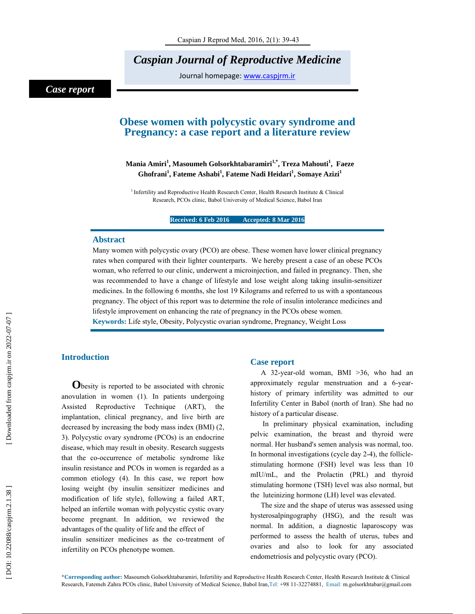*Caspian Journal of Reproductive Medicine* 

Journal homepage: www.caspjrm.ir

# *Case report*

# **Obese women with polycystic ovary syndrome and Pregnancy: a case report and a literature review**

# **Mania Amiri 1 , Masoumeh Golsorkhtabaramiri1,\*, Treza Mahouti 1 , Faeze**   $\mathbf{G}$ hofrani $^1$ , Fateme Ashabi $^1$ , Fateme Nadi Heidari $^1$ , Somaye Azizi $^1$

<sup>1</sup> Infertility and Reproductive Health Research Center, Health Research Institute & Clinical Research, PCOs clinic, Babol University of Medical Science, Babol Iran

**Received: 6 Feb 2016 Accepted: 8 Mar 2016** 

## **Abstract**

Many women with polycystic ovary (PCO) are obese. These women have lower clinical pregnancy rates when compared with their lighter counterparts. We hereby present a case of an obese PCOs woman, who referred to our clinic, underwent a microinjection, and failed in pregnancy. Then, she was recommended to have a change of lifestyle and lose weight along taking insulin-sensitizer medicines. In the following 6 months, she lost 19 Kilograms and referred to us with a spontaneous pregnancy. The object of this report was to determine the role of insulin intolerance medicines and lifestyle improvement on enhancing the rate of pregnancy in the PCOs obese women.

**Keywords:** Life style, Obesity, Polycystic ovarian syndrome, Pregnancy, Weight Loss

**Introduction**<br> **O**besity is reported to be associated with chronic anovulation in women (1). In patients undergoing Assisted Reproductive Technique (ART), the implantation, clinical pregnancy, and live birth are decreased by increasing the body mass index (BMI) (2, 3). Polycystic ovary syndrome (PCOs) is an endocrine disease, which may result in obesity. Research suggests that the co-occurrence of metabolic syndrome like insulin resistance and PCOs in women is regarded as a common etiology (4). In this case, we report how losing weight (by insulin sensitizer medicines and modification of life style), following a failed ART, helped an infertile woman with polycystic cystic ovary become pregnant. In addition, we reviewed the advantages of the quality of life and the effect of insulin sensitizer medicines as the co-treatment of infertility on PCOs phenotype women.

# **Case report**

A 32-year-old woman, BMI >36, who had an approximately regular menstruation and a 6-yearhistory of primary infertility was admitted to our Infertility Center in Babol (north of Iran). She had no history of a particular disease.

 In preliminary physical examination, including pelvic examination, the breast and thyroid were normal. Her husband's semen analysis was normal, too. In hormonal investigations (cycle day 2-4), the folliclestimulating hormone (FSH) level was less than 10 mIU/mL, and the Prolactin (PRL) and thyroid stimulating hormone (TSH) level was also normal, but the luteinizing hormone (LH) level was elevated.

The size and the shape of uterus was assessed using hysterosalpingography (HSG), and the result was normal. In addition, a diagnostic laparoscopy was performed to assess the health of uterus, tubes and ovaries and also to look for any associated endometriosis and polycystic ovary (PCO).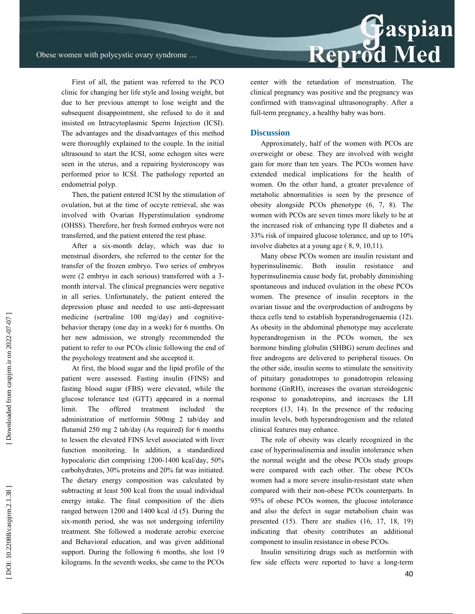First of all, the patient was referred to the PCO clinic for changing her life style and losing weight, but due to her previous attempt to lose weight and the subsequent disappointment, she refused to do it and insisted on Intracytoplasmic Sperm Injection (ICSI). The advantages and the disadvantages of this method were thoroughly explained to the couple. In the initial ultrasound to start the ICSI, some echogen sites were seen in the uterus, and a repairing hysteroscopy was performed prior to ICSI. The pathology reported an endometrial polyp.

Then, the patient entered ICSI by the stimulation of ovulation, but at the time of occyte retrieval, she was involved with Ovarian Hyperstimulation syndrome (OHSS). Therefore, her fresh formed embryos were not transferred, and the patient entered the rest phase.

After a six-month delay, which was due to menstrual disorders, she referred to the center for the transfer of the frozen embryo. Two series of embryos were (2 embryo in each serious) transferred with a 3 month interval. The clinical pregnancies were negative in all series. Unfortunately, the patient entered the depression phase and needed to use anti-depressant medicine (sertraline 100 mg/day) and cognitivebehavior therapy (one day in a week) for 6 months. On her new admission, we strongly recommended the patient to refer to our PCOs clinic following the end of the psychology treatment and she accepted it.

At first, the blood sugar and the lipid profile of the patient were assessed. Fasting insulin (FINS) and fasting blood sugar (FBS) were elevated, while the glucose tolerance test (GTT) appeared in a normal limit. The offered treatment included the administration of metformin 500mg 2 tab/day and flutamid 250 mg 2 tab/day (As required) for 6 months to lessen the elevated FINS level associated with liver function monitoring. In addition, a standardized hypocaloric diet comprising 1200-1400 kcal/day, 50% carbohydrates, 30% proteins and 20% fat was initiated. The dietary energy composition was calculated by subtracting at least 500 kcal from the usual individual energy intake. The final composition of the diets ranged between 1200 and 1400 kcal /d (5). During the six-month period, she was not undergoing infertility treatment. She followed a moderate aerobic exercise and Behavioral education, and was given additional support. During the following 6 months, she lost 19 kilograms. In the seventh weeks, she came to the PCOs



center with the retardation of menstruation. The clinical pregnancy was positive and the pregnancy was confirmed with transvaginal ultrasonography. After a full-term pregnancy, a healthy baby was born.

#### **Discussion**

Approximately, half of the women with PCOs are overweight or obese. They are involved with weight gain for more than ten years. The PCOs women have extended medical implications for the health of women. On the other hand, a greater prevalence of metabolic abnormalities is seen by the presence of obesity alongside PCOs phenotype (6, 7, 8). The women with PCOs are seven times more likely to be at the increased risk of enhancing type II diabetes and a 33% risk of impaired glucose tolerance, and up to 10% involve diabetes at a young age ( 8, 9, 10,11).

Many obese PCOs women are insulin resistant and hyperinsulinemic. Both insulin resistance and hyperinsulinemia cause body fat, probably diminishing spontaneous and induced ovulation in the obese PCOs women. The presence of insulin receptors in the ovarian tissue and the overproduction of androgens by theca cells tend to establish hyperandrogenaemia (12). As obesity in the abdominal phenotype may accelerate hyperandrogenism in the PCOs women, the sex hormone binding globulin (SHBG) serum declines and free androgens are delivered to peripheral tissues. On the other side, insulin seems to stimulate the sensitivity of pituitary gonadotropes to gonadotropin releasing hormone (GnRH), increases the ovarian steroidogenic response to gonadotropins, and increases the LH receptors (13, 14). In the presence of the reducing insulin levels, both hyperandrogenism and the related clinical features may enhance.

The role of obesity was clearly recognized in the case of hyperinsulinemia and insulin intolerance when the normal weight and the obese PCOs study groups were compared with each other. The obese PCOs women had a more severe insulin-resistant state when compared with their non-obese PCOs counterparts. In 95% of obese PCOs women, the glucose intolerance and also the defect in sugar metabolism chain was presented (15). There are studies (16, 17, 18, 19) indicating that obesity contributes an additional component to insulin resistance in obese PCOs.

Insulin sensitizing drugs such as metformin with few side effects were reported to have a long-term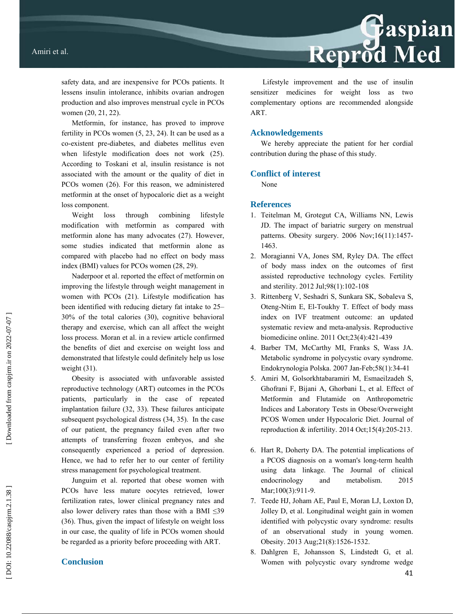safety data, and are inexpensive for PCOs patients. It lessens insulin intolerance, inhibits ovarian androgen production and also improves menstrual cycle in PCOs women (20, 21, 22).

Metformin, for instance, has proved to improve fertility in PCOs women (5, 23, 24). It can be used as a co-existent pre-diabetes, and diabetes mellitus even when lifestyle modification does not work (25). According to Toskani et al, insulin resistance is not associated with the amount or the quality of diet in PCOs women (26). For this reason, we administered metformin at the onset of hypocaloric diet as a weight loss component.

Weight loss through combining lifestyle modification with metformin as compared with metformin alone has many advocates (27). However, some studies indicated that metformin alone as compared with placebo had no effect on body mass index (BMI) values for PCOs women (28, 29).

Naderpoor et al. reported the effect of metformin on improving the lifestyle through weight management in women with PCOs (21). Lifestyle modification has been identified with reducing dietary fat intake to 25– 30% of the total calories (30), cognitive behavioral therapy and exercise, which can all affect the weight loss process. Moran et al. in a review article confirmed the bene fits of diet and exercise on weight loss and demonstrated that lifestyle could definitely help us lose weight (31).

Obesity is associated with unfavorable assisted reproductive technology (ART) outcomes in the PCOs patients, particularly in the case of repeated implantation failure (32, 33). These failures anticipate subsequent psychological distress (34, 35). In the case of our patient, the pregnancy failed even after two attempts of transferring frozen embryos, and she consequently experienced a period of depression. Hence, we had to refer her to our center of fertility stress management for psychological treatment.

Junguim et al. reported that obese women with PCOs have less mature oocytes retrieved, lower fertilization rates, lower clinical pregnancy rates and also lower delivery rates than those with a BMI  $\leq 39$ (36). Thus, given the impact of lifestyle on weight loss in our case, the quality of life in PCOs women should be regarded as a priority before proceeding with ART.

# **Conclusion**

Lifestyle improvement and the use of insulin sensitizer medicines for weight loss as two complementary options are recommended alongside ART.

### **Acknowledgements**

We hereby appreciate the patient for her cordial contribution during the phase of this study.

## **Conflict of interest**

None

## **References**

- 1. Teitelman M, Grotegut CA, Williams NN, Lewis JD. The impact of bariatric surgery on menstrual patterns. Obesity surgery. 2006 Nov;16(11):1457- 1463.
- 2. Moragianni VA, Jones SM, Ryley DA. The effect of body mass index on the outcomes of first assisted reproductive technology cycles. Fertility and sterility. 2012 Jul;98(1):102-108
- 3. Rittenberg V, Seshadri S, Sunkara SK, Sobaleva S, Oteng-Ntim E, El-Toukhy T. Effect of body mass index on IVF treatment outcome: an updated systematic review and meta-analysis. Reproductive biomedicine online. 2011 Oct;23(4):421-439
- 4. Barber TM, McCarthy MI, Franks S, Wass JA. Metabolic syndrome in polycystic ovary syndrome. Endokrynologia Polska. 2007 Jan-Feb;58(1):34-41
- 5. Amiri M, Golsorkhtabaramiri M, Esmaeilzadeh S, Ghofrani F, Bijani A, Ghorbani L, et al. Effect of Metformin and Flutamide on Anthropometric Indices and Laboratory Tests in Obese/Overweight PCOS Women under Hypocaloric Diet. Journal of reproduction  $&$  infertility. 2014 Oct; 15(4): 205-213.
- 6. Hart R, Doherty DA. The potential implications of a PCOS diagnosis on a woman's long-term health using data linkage. The Journal of clinical endocrinology and metabolism. 2015 Mar;100(3):911-9.
- 7. Teede HJ, Joham AE, Paul E, Moran LJ, Loxton D, Jolley D, et al. Longitudinal weight gain in women identified with polycystic ovary syndrome: results of an observational study in young women. Obesity. 2013 Aug;21(8):1526-1532.
- 8. Dahlgren E, Johansson S, Lindstedt G, et al. Women with polycystic ovary syndrome wedge

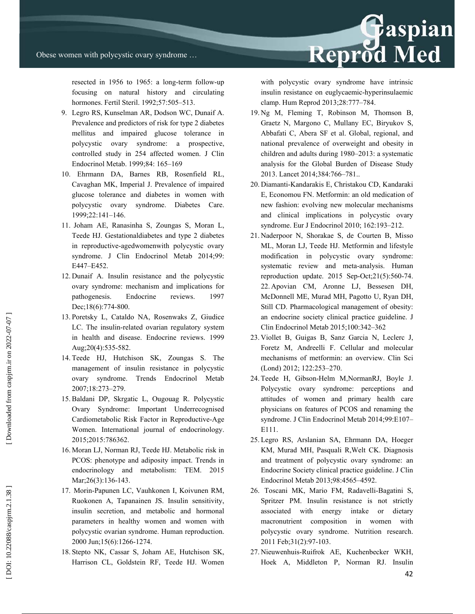resected in 1956 to 1965: a long-term follow-up focusing on natural history and circulating hormones. Fertil Steril. 1992;57:505–513.

- 9. Legro RS, Kunselman AR, Dodson WC, Dunaif A. Prevalence and predictors of risk for type 2 diabetes mellitus and impaired glucose tolerance in polycystic ovary syndrome: a prospective, controlled study in 254 affected women. J Clin Endocrinol Metab. 1999;84: 165–169
- 10. Ehrmann DA, Barnes RB, Rosenfield RL, Cavaghan MK, Imperial J. Prevalence of impaired glucose tolerance and diabetes in women with polycystic ovary syndrome. Diabetes Care. 1999;22:141–146.
- 11. Joham AE, Ranasinha S, Zoungas S, Moran L, Teede HJ. Gestationaldiabetes and type 2 diabetes in reproductive-agedwomenwith polycystic ovary syndrome. J Clin Endocrinol Metab 2014;99: E447–E452.
- 12. Dunaif A. Insulin resistance and the polycystic ovary syndrome: mechanism and implications for pathogenesis. Endocrine reviews. 1997 Dec;18(6):774-800.
- 13. Poretsky L, Cataldo NA, Rosenwaks Z, Giudice LC. The insulin-related ovarian regulatory system in health and disease. Endocrine reviews. 1999 Aug;20(4):535-582.
- 14. Teede HJ, Hutchison SK, Zoungas S. The management of insulin resistance in polycystic ovary syndrome. Trends Endocrinol Metab 2007;18:273–279.
- 15. Baldani DP, Skrgatic L, Ougouag R. Polycystic Ovary Syndrome: Important Underrecognised Cardiometabolic Risk Factor in Reproductive-Age Women. International journal of endocrinology. 2015;2015:786362.
- 16. Moran LJ, Norman RJ, Teede HJ. Metabolic risk in PCOS: phenotype and adiposity impact. Trends in endocrinology and metabolism: TEM. 2015 Mar; 26(3): 136-143.
- 17. Morin-Papunen LC, Vauhkonen I, Koivunen RM, Ruokonen A, Tapanainen JS. Insulin sensitivity, insulin secretion, and metabolic and hormonal parameters in healthy women and women with polycystic ovarian syndrome. Human reproduction. 2000 Jun;15(6):1266-1274.
- 18. Stepto NK, Cassar S, Joham AE, Hutchison SK, Harrison CL, Goldstein RF, Teede HJ. Women

with polycystic ovary syndrome have intrinsic insulin resistance on euglycaemic-hyperinsulaemic clamp. Hum Reprod 2013;28:777–784.

Reprod Med

- 19. Ng M, Fleming T, Robinson M, Thomson B, Graetz N, Margono C, Mullany EC, Biryukov S, Abbafati C, Abera SF et al. Global, regional, and national prevalence of overweight and obesity in children and adults during 1980–2013: a systematic analysis for the Global Burden of Disease Study 2013. Lancet 2014;384:766–781..
- 20. Diamanti-Kandarakis E, Christakou CD, Kandaraki E, Economou FN. Metformin: an old medication of new fashion: evolving new molecular mechanisms and clinical implications in polycystic ovary syndrome. Eur J Endocrinol 2010; 162:193–212.
- 21. Naderpoor N, Shorakae S, de Courten B, Misso ML, Moran LJ, Teede HJ. Metformin and lifestyle modification in polycystic ovary syndrome: systematic review and meta-analysis. Human reproduction update. 2015 Sep-Oct;21(5):560-74. 22. Apovian CM, Aronne LJ, Bessesen DH, McDonnell ME, Murad MH, Pagotto U, Ryan DH, Still CD. Pharmacological management of obesity: an endocrine society clinical practice guideline. J Clin Endocrinol Metab 2015;100:342–362
- 23. Viollet B, Guigas B, Sanz Garcia N, Leclerc J, Foretz M, Andreelli F. Cellular and molecular mechanisms of metformin: an overview. Clin Sci (Lond) 2012; 122:253–270.
- 24. Teede H, Gibson-Helm M,NormanRJ, Boyle J. Polycystic ovary syndrome: perceptions and attitudes of women and primary health care physicians on features of PCOS and renaming the syndrome. J Clin Endocrinol Metab 2014;99:E107– E111.
- 25. Legro RS, Arslanian SA, Ehrmann DA, Hoeger KM, Murad MH, Pasquali R,Welt CK. Diagnosis and treatment of polycystic ovary syndrome: an Endocrine Society clinical practice guideline. J Clin Endocrinol Metab 2013;98:4565–4592.
- 26. Toscani MK, Mario FM, Radavelli-Bagatini S, Spritzer PM. Insulin resistance is not strictly associated with energy intake or dietary macronutrient composition in women with polycystic ovary syndrome. Nutrition research. 2011 Feb;31(2):97-103.
- 27. Nieuwenhuis-Ruifrok AE, Kuchenbecker WKH, Hoek A, Middleton P, Norman RJ. Insulin

DOI: 10.22088/caspjrm.2.1.38